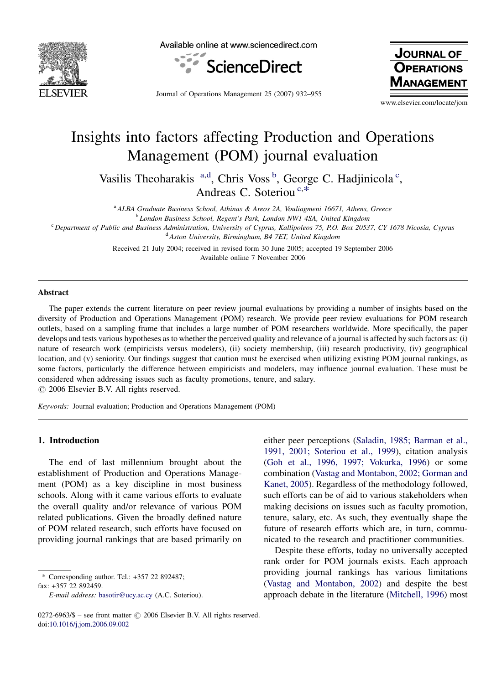

Available online at www.sciencedirect.com



Journal of Operations Management 25 (2007) 932–955

**JOURNAL OF OPERATIONS IAGEMEN** 

www.elsevier.com/locate/jom

## Insights into factors affecting Production and Operations Management (POM) journal evaluation

Vasilis Theoharakis <sup>a,d</sup>, Chris Voss<sup>b</sup>, George C. Hadjinicola<sup>c</sup>, Andreas C. Soteriou<sup>c,\*</sup>

<sup>a</sup> ALBA Graduate Business School, Athinas & Areos 2A, Vouliagmeni 16671, Athens, Greece

<sup>b</sup> London Business School, Regent's Park, London NW1 4SA, United Kingdom

<sup>c</sup> Department of Public and Business Administration, University of Cyprus, Kallipoleos 75, P.O. Box 20537, CY 1678 Nicosia, Cyprus <sup>d</sup> Aston University, Birmingham, B4 7ET, United Kingdom

> Received 21 July 2004; received in revised form 30 June 2005; accepted 19 September 2006 Available online 7 November 2006

#### Abstract

The paper extends the current literature on peer review journal evaluations by providing a number of insights based on the diversity of Production and Operations Management (POM) research. We provide peer review evaluations for POM research outlets, based on a sampling frame that includes a large number of POM researchers worldwide. More specifically, the paper develops and tests various hypotheses as to whether the perceived quality and relevance of a journal is affected by such factors as: (i) nature of research work (empiricists versus modelers), (ii) society membership, (iii) research productivity, (iv) geographical location, and (v) seniority. Our findings suggest that caution must be exercised when utilizing existing POM journal rankings, as some factors, particularly the difference between empiricists and modelers, may influence journal evaluation. These must be considered when addressing issues such as faculty promotions, tenure, and salary.  $\circ$  2006 Elsevier B.V. All rights reserved.

Keywords: Journal evaluation; Production and Operations Management (POM)

### 1. Introduction

The end of last millennium brought about the establishment of Production and Operations Management (POM) as a key discipline in most business schools. Along with it came various efforts to evaluate the overall quality and/or relevance of various POM related publications. Given the broadly defined nature of POM related research, such efforts have focused on providing journal rankings that are based primarily on

\* Corresponding author. Tel.: +357 22 892487; fax: +357 22 892459.

either peer perceptions ([Saladin, 1985; Barman et al.,](#page--1-0) [1991, 2001; Soteriou et al., 1999](#page--1-0)), citation analysis ([Goh et al., 1996, 1997; Vokurka, 1996\)](#page--1-0) or some combination ([Vastag and Montabon, 2002; Gorman and](#page--1-0) [Kanet, 2005\)](#page--1-0). Regardless of the methodology followed, such efforts can be of aid to various stakeholders when making decisions on issues such as faculty promotion, tenure, salary, etc. As such, they eventually shape the future of research efforts which are, in turn, communicated to the research and practitioner communities.

Despite these efforts, today no universally accepted rank order for POM journals exists. Each approach providing journal rankings has various limitations ([Vastag and Montabon, 2002\)](#page--1-0) and despite the best approach debate in the literature ([Mitchell, 1996\)](#page--1-0) most

E-mail address: [basotir@ucy.ac.cy](mailto:basotir@ucy.ac.cy) (A.C. Soteriou).

 $0272-6963/\$$  – see front matter  $\odot$  2006 Elsevier B.V. All rights reserved. doi:[10.1016/j.jom.2006.09.002](http://dx.doi.org/10.1016/j.jom.2006.09.002)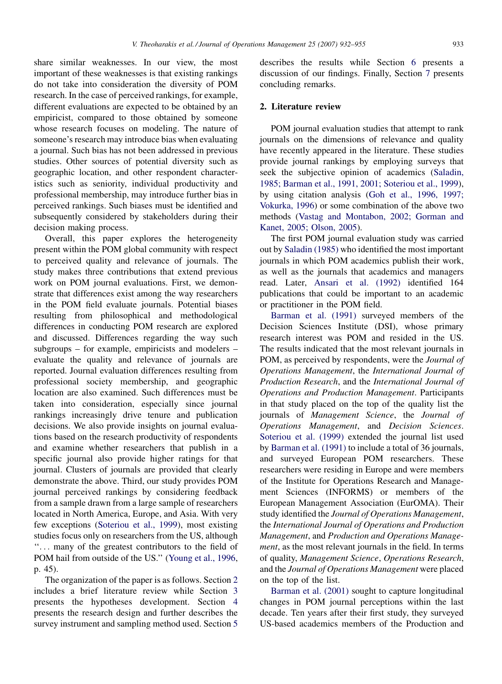share similar weaknesses. In our view, the most important of these weaknesses is that existing rankings do not take into consideration the diversity of POM research. In the case of perceived rankings, for example, different evaluations are expected to be obtained by an empiricist, compared to those obtained by someone whose research focuses on modeling. The nature of someone's research may introduce bias when evaluating a journal. Such bias has not been addressed in previous studies. Other sources of potential diversity such as geographic location, and other respondent characteristics such as seniority, individual productivity and professional membership, may introduce further bias in perceived rankings. Such biases must be identified and subsequently considered by stakeholders during their decision making process.

Overall, this paper explores the heterogeneity present within the POM global community with respect to perceived quality and relevance of journals. The study makes three contributions that extend previous work on POM journal evaluations. First, we demonstrate that differences exist among the way researchers in the POM field evaluate journals. Potential biases resulting from philosophical and methodological differences in conducting POM research are explored and discussed. Differences regarding the way such subgroups – for example, empiricists and modelers – evaluate the quality and relevance of journals are reported. Journal evaluation differences resulting from professional society membership, and geographic location are also examined. Such differences must be taken into consideration, especially since journal rankings increasingly drive tenure and publication decisions. We also provide insights on journal evaluations based on the research productivity of respondents and examine whether researchers that publish in a specific journal also provide higher ratings for that journal. Clusters of journals are provided that clearly demonstrate the above. Third, our study provides POM journal perceived rankings by considering feedback from a sample drawn from a large sample of researchers located in North America, Europe, and Asia. With very few exceptions [\(Soteriou et al., 1999\)](#page--1-0), most existing studies focus only on researchers from the US, although ''... many of the greatest contributors to the field of POM hail from outside of the US.'' ([Young et al., 1996,](#page--1-0) p. 45).

The organization of the paper is as follows. Section 2 includes a brief literature review while Section [3](#page--1-0) presents the hypotheses development. Section [4](#page--1-0) presents the research design and further describes the survey instrument and sampling method used. Section [5](#page--1-0) describes the results while Section [6](#page--1-0) presents a discussion of our findings. Finally, Section [7](#page--1-0) presents concluding remarks.

#### 2. Literature review

POM journal evaluation studies that attempt to rank journals on the dimensions of relevance and quality have recently appeared in the literature. These studies provide journal rankings by employing surveys that seek the subjective opinion of academics ([Saladin,](#page--1-0) [1985; Barman et al., 1991, 2001; Soteriou et al., 1999](#page--1-0)), by using citation analysis [\(Goh et al., 1996, 1997;](#page--1-0) [Vokurka, 1996\)](#page--1-0) or some combination of the above two methods [\(Vastag and Montabon, 2002; Gorman and](#page--1-0) [Kanet, 2005; Olson, 2005](#page--1-0)).

The first POM journal evaluation study was carried out by [Saladin \(1985\)](#page--1-0) who identified the most important journals in which POM academics publish their work, as well as the journals that academics and managers read. Later, [Ansari et al. \(1992\)](#page--1-0) identified 164 publications that could be important to an academic or practitioner in the POM field.

[Barman et al. \(1991\)](#page--1-0) surveyed members of the Decision Sciences Institute (DSI), whose primary research interest was POM and resided in the US. The results indicated that the most relevant journals in POM, as perceived by respondents, were the *Journal of* Operations Management, the International Journal of Production Research, and the International Journal of Operations and Production Management. Participants in that study placed on the top of the quality list the journals of Management Science, the Journal of Operations Management, and Decision Sciences. [Soteriou et al. \(1999\)](#page--1-0) extended the journal list used by [Barman et al. \(1991\)](#page--1-0) to include a total of 36 journals, and surveyed European POM researchers. These researchers were residing in Europe and were members of the Institute for Operations Research and Management Sciences (INFORMS) or members of the European Management Association (EurOMA). Their study identified the Journal of Operations Management, the International Journal of Operations and Production Management, and Production and Operations Management, as the most relevant journals in the field. In terms of quality, Management Science, Operations Research, and the Journal of Operations Management were placed on the top of the list.

[Barman et al. \(2001\)](#page--1-0) sought to capture longitudinal changes in POM journal perceptions within the last decade. Ten years after their first study, they surveyed US-based academics members of the Production and